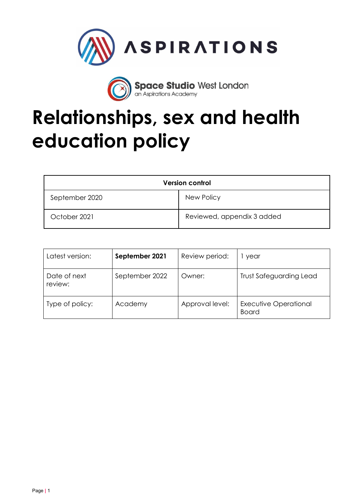

**Space Studio West London**<br>an Aspirations Academy

# **Relationships, sex and health education policy**

| <b>Version control</b> |                            |  |
|------------------------|----------------------------|--|
| September 2020         | New Policy                 |  |
| October 2021           | Reviewed, appendix 3 added |  |

| Latest version:         | September 2021<br>Review period: |                 | year                                  |  |
|-------------------------|----------------------------------|-----------------|---------------------------------------|--|
| Date of next<br>review: | September 2022<br>Owner:         |                 | <b>Trust Safeguarding Lead</b>        |  |
| Type of policy:         | Academy                          | Approval level: | Executive Operational<br><b>Board</b> |  |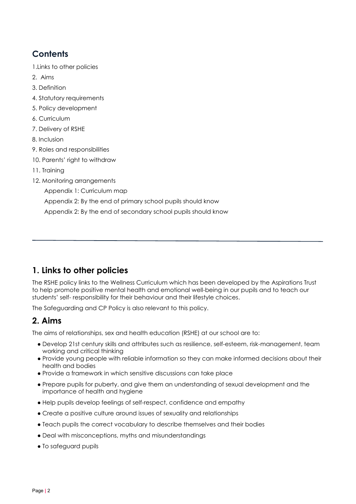# **Contents**

- 1.Links to other policies
- 2. Aims
- 3. Definition
- 4. Statutory requirements
- [5. Policy development](#page-2-0)
- [6. Curriculum](#page-2-1)
- [7. Delivery of RSHE](#page-3-0)
- 8. Inclusio[n](#page-3-0)
- 9. Roles and responsibilities
- 1[0. Parents' right to withdraw](#page-4-0)
- 11. Training
- [12. Monitoring arrangements](#page-5-0)
	- [Appendix 1: Curriculum map](#page-6-0)
	- Appendix 2: By the end of primary school pupils should know
	- Appendix 2: By the end of secondary school pupils should know

## **1. Links to other policies**

The RSHE policy links to the Wellness Curriculum which has been developed by the Aspirations Trust to help promote positive mental health and emotional well-being in our pupils and to teach our students' self- responsibility for their behaviour and their lifestyle choices.

The Safeguarding and CP Policy is also relevant to this policy.

## **2. Aims**

The aims of relationships, sex and health education (RSHE) at our school are to:

- Develop 21st century skills and attributes such as resilience, self-esteem, risk-management, team working and critical thinking
- Provide young people with reliable information so they can make informed decisions about their health and bodies
- Provide a framework in which sensitive discussions can take place
- Prepare pupils for puberty, and give them an understanding of sexual development and the importance of health and hygiene
- Help pupils develop feelings of self-respect, confidence and empathy
- Create a positive culture around issues of sexuality and relationships
- Teach pupils the correct vocabulary to describe themselves and their bodies
- Deal with misconceptions, myths and misunderstandings
- To safeguard pupils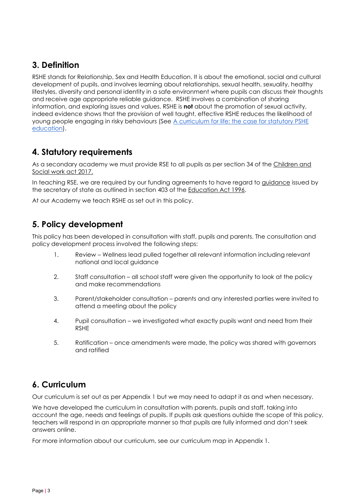## **3. Definition**

RSHE stands for Relationship, Sex and Health Education. It is about the emotional, social and cultural development of pupils, and involves learning about relationships, sexual health, sexuality, healthy lifestyles, diversity and personal identity in a safe environment where pupils can discuss their thoughts and receive age appropriate reliable guidance. RSHE involves a combination of sharing information, and exploring issues and values. RSHE is **not** about the promotion of sexual activity, indeed evidence shows that the provision of well taught, effective RSHE reduces the likelihood of young people engaging in risky behaviours (See [A curriculum for life: the case for statutory PSHE](https://www.pshe-association.org.uk/system/files/Curriculum%20for%20life%20December%202017%2012.06%2019%20Dec.pdf)  [education\)](https://www.pshe-association.org.uk/system/files/Curriculum%20for%20life%20December%202017%2012.06%2019%20Dec.pdf).

## **4. Statutory requirements**

As a secondary academy we must provide RSE to all pupils as per section 34 of the [Children and](http://www.legislation.gov.uk/ukpga/2017/16/section/34/enacted)  [Social work act 2017.](http://www.legislation.gov.uk/ukpga/2017/16/section/34/enacted)

In teaching RSE, we are required by our funding agreements to have regard to [guidance](https://www.gov.uk/government/consultations/relationships-and-sex-education-and-health-education) issued by the secretary of state as outlined in section 403 of the [Education Act 1996.](http://www.legislation.gov.uk/ukpga/1996/56/contents)

<span id="page-2-0"></span>At our Academy we teach RSHE as set out in this policy.

## **5. Policy development**

This policy has been developed in consultation with staff, pupils and parents. The consultation and policy development process involved the following steps:

- 1. Review Wellness lead pulled together all relevant information including relevant national and local guidance
- 2. Staff consultation all school staff were given the opportunity to look at the policy and make recommendations
- 3. Parent/stakeholder consultation parents and any interested parties were invited to attend a meeting about the policy
- 4. Pupil consultation we investigated what exactly pupils want and need from their RSHE
- 5. Ratification once amendments were made, the policy was shared with governors and ratified

## <span id="page-2-1"></span>**6. Curriculum**

Our curriculum is set out as per Appendix 1 but we may need to adapt it as and when necessary.

We have developed the curriculum in consultation with parents, pupils and staff, taking into account the age, needs and feelings of pupils. If pupils ask questions outside the scope of this policy, teachers will respond in an appropriate manner so that pupils are fully informed and don't seek answers online.

For more information about our curriculum, see our curriculum map in Appendix 1.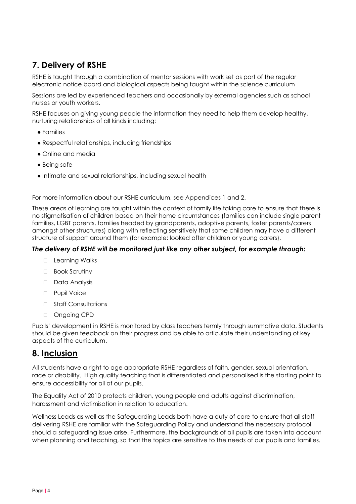# <span id="page-3-0"></span>**7. Delivery of RSHE**

RSHE is taught through a combination of mentor sessions with work set as part of the regular electronic notice board and biological aspects being taught within the science curriculum

Sessions are led by experienced teachers and occasionally by external agencies such as school nurses or youth workers.

RSHE focuses on giving young people the information they need to help them develop healthy, nurturing relationships of all kinds including:

- Families
- Respectful relationships, including friendships
- Online and media
- Being safe
- Intimate and sexual relationships, including sexual health

For more information about our RSHE curriculum, see Appendices 1 and 2.

These areas of learning are taught within the context of family life taking care to ensure that there is no stigmatisation of children based on their home circumstances (families can include single parent families, LGBT parents, families headed by grandparents, adoptive parents, foster parents/carers amongst other structures) along with reflecting sensitively that some children may have a different structure of support around them (for example: looked after children or young carers).

#### *The delivery of RSHE will be monitored just like any other subject, for example through:*

- □ Learning Walks
- □ Book Scrutiny
- ⮚ Data Analysis
- ⮚ Pupil Voice
- □ Staff Consultations
- □ Ongoing CPD

Pupils' development in RSHE is monitored by class teachers termly through summative data. Students should be given feedback on their progress and be able to articulate their understanding of key aspects of the curriculum.

## **8. Inclusion**

All students have a right to age appropriate RSHE regardless of faith, gender, sexual orientation, race or disability. High quality teaching that is differentiated and personalised is the starting point to ensure accessibility for all of our pupils.

The Equality Act of 2010 protects children, young people and adults against discrimination, harassment and victimisation in relation to education.

Wellness Leads as well as the Safeguarding Leads both have a duty of care to ensure that all staff delivering RSHE are familiar with the Safeguarding Policy and understand the necessary protocol should a safeguarding issue arise. Furthermore, the backgrounds of all pupils are taken into account when planning and teaching, so that the topics are sensitive to the needs of our pupils and families.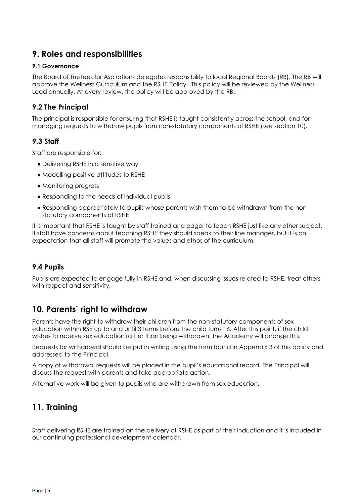## **9. Roles and responsibilities**

#### **9.1 Governance**

The Board of Trustees for Aspirations delegates responsibility to local Regional Boards (RB). The RB will approve the Wellness Curriculum and the RSHE Policy. This policy will be reviewed by the Wellness Lead annually. At every review, the policy will be approved by the RB.

### **9.2 The Principal**

The principal is responsible for ensuring that RSHE is taught consistently across the school, and for managing requests to withdraw pupils from non-statutory components of RSHE (see section 10).

#### **9.3 Staff**

Staff are responsible for:

- Delivering RSHE in a sensitive way
- Modelling positive attitudes to RSHE
- Monitoring progress
- Responding to the needs of individual pupils
- Responding appropriately to pupils whose parents wish them to be withdrawn from the nonstatutory components of RSHE

It is important that RSHE is taught by staff trained and eager to teach RSHE just like any other subject. If staff have concerns about teaching RSHE they should speak to their line manager, but it is an expectation that all staff will promote the values and ethos of the curriculum.

#### **9.4 Pupils**

Pupils are expected to engage fully in RSHE and, when discussing issues related to RSHE, treat others with respect and sensitivity.

## <span id="page-4-0"></span>**10. Parents' right to withdraw**

Parents have the right to withdraw their children from the non-statutory components of sex education within RSE up to and until 3 terms before the child turns 16. After this point, if the child wishes to receive sex education rather than being withdrawn, the Academy will arrange this.

Requests for withdrawal should be put in writing using the form found in Appendix 3 of this policy and addressed to the Principal.

A copy of withdrawal requests will be placed in the pupil's educational record. The Principal will discuss the request with parents and take appropriate action.

Alternative work will be given to pupils who are withdrawn from sex education.

## **11. Training**

Staff delivering RSHE are trained on the delivery of RSHE as part of their induction and it is included in our continuing professional development calendar.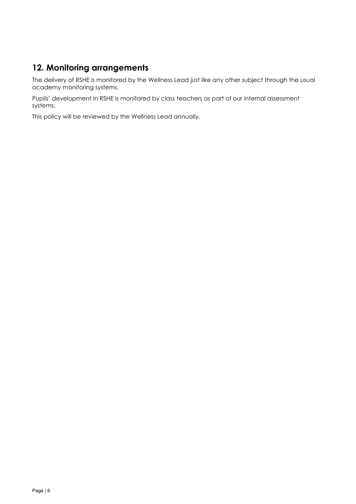## <span id="page-5-0"></span>**12. Monitoring arrangements**

The delivery of RSHE is monitored by the Wellness Lead just like any other subject through the usual academy monitoring systems.

Pupils' development in RSHE is monitored by class teachers as part of our internal assessment systems.

This policy will be reviewed by the Wellness Lead annually.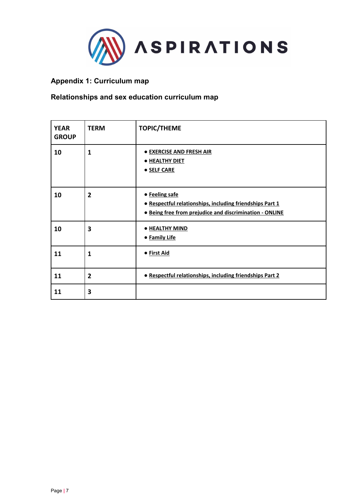

## <span id="page-6-0"></span>**Appendix 1: Curriculum map**

## **Relationships and sex education curriculum map**

| <b>YEAR</b><br><b>GROUP</b> | <b>TERM</b>    | <b>TOPIC/THEME</b>                                                                                                                           |  |
|-----------------------------|----------------|----------------------------------------------------------------------------------------------------------------------------------------------|--|
| 10                          | 1              | <b>• EXERCISE AND FRESH AIR</b><br>· HEALTHY DIET<br><b>• SELF CARE</b>                                                                      |  |
| 10                          | $\overline{2}$ | • Feeling safe<br>· Respectful relationships, including friendships Part 1<br><b>• Being free from prejudice and discrimination - ONLINE</b> |  |
| 10                          | 3              | · HEALTHY MIND<br><b>• Family Life</b>                                                                                                       |  |
| 11                          | $\mathbf{1}$   | · First Aid                                                                                                                                  |  |
| 11                          | $\overline{2}$ | · Respectful relationships, including friendships Part 2                                                                                     |  |
| 11                          | 3              |                                                                                                                                              |  |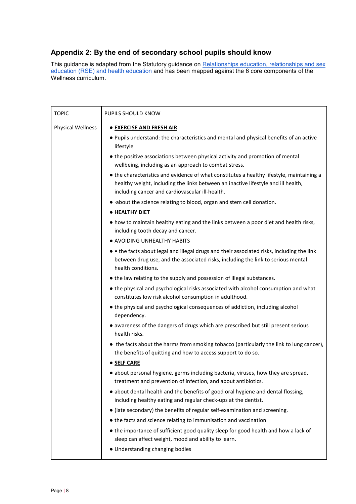### **Appendix 2: By the end of secondary school pupils should know**

This guidance is adapted from the Statutory guidance on <u>Relationships education, relationships and sex</u> [education \(RSE\) and health education](https://www.gov.uk/government/publications/relationships-education-relationships-and-sex-education-rse-and-health-education) and has been mapped against the 6 core components of the Wellness curriculum.

| <b>TOPIC</b>             | PUPILS SHOULD KNOW                                                                                                                                                                                                                                                                                                                                                                                                                                                                                                                                                                                                                                                                                                                                                                                                                                                                                                                                                                                                                                                                                                                                                                                                                                                                                                                                                                                                                                                                                                                                                                                                                                                                                                                                            |  |  |
|--------------------------|---------------------------------------------------------------------------------------------------------------------------------------------------------------------------------------------------------------------------------------------------------------------------------------------------------------------------------------------------------------------------------------------------------------------------------------------------------------------------------------------------------------------------------------------------------------------------------------------------------------------------------------------------------------------------------------------------------------------------------------------------------------------------------------------------------------------------------------------------------------------------------------------------------------------------------------------------------------------------------------------------------------------------------------------------------------------------------------------------------------------------------------------------------------------------------------------------------------------------------------------------------------------------------------------------------------------------------------------------------------------------------------------------------------------------------------------------------------------------------------------------------------------------------------------------------------------------------------------------------------------------------------------------------------------------------------------------------------------------------------------------------------|--|--|
| <b>Physical Wellness</b> | <b>• EXERCISE AND FRESH AIR</b><br>. Pupils understand: the characteristics and mental and physical benefits of an active<br>lifestyle<br>• the positive associations between physical activity and promotion of mental<br>wellbeing, including as an approach to combat stress.<br>• the characteristics and evidence of what constitutes a healthy lifestyle, maintaining a<br>healthy weight, including the links between an inactive lifestyle and ill health,<br>including cancer and cardiovascular ill-health.<br>• about the science relating to blood, organ and stem cell donation.<br>· HEALTHY DIET<br>• how to maintain healthy eating and the links between a poor diet and health risks,<br>including tooth decay and cancer.<br>• AVOIDING UNHEALTHY HABITS<br>• • the facts about legal and illegal drugs and their associated risks, including the link<br>between drug use, and the associated risks, including the link to serious mental<br>health conditions.<br>• the law relating to the supply and possession of illegal substances.<br>• the physical and psychological risks associated with alcohol consumption and what<br>constitutes low risk alcohol consumption in adulthood.<br>• the physical and psychological consequences of addiction, including alcohol<br>dependency.<br>• awareness of the dangers of drugs which are prescribed but still present serious<br>health risks.<br>• the facts about the harms from smoking tobacco (particularly the link to lung cancer),<br>the benefits of quitting and how to access support to do so.<br><b>• SELF CARE</b><br>· about personal hygiene, germs including bacteria, viruses, how they are spread,<br>treatment and prevention of infection, and about antibiotics. |  |  |
|                          | • about dental health and the benefits of good oral hygiene and dental flossing,<br>including healthy eating and regular check-ups at the dentist.<br>• (late secondary) the benefits of regular self-examination and screening.<br>• the facts and science relating to immunisation and vaccination.<br>• the importance of sufficient good quality sleep for good health and how a lack of<br>sleep can affect weight, mood and ability to learn.<br>• Understanding changing bodies                                                                                                                                                                                                                                                                                                                                                                                                                                                                                                                                                                                                                                                                                                                                                                                                                                                                                                                                                                                                                                                                                                                                                                                                                                                                        |  |  |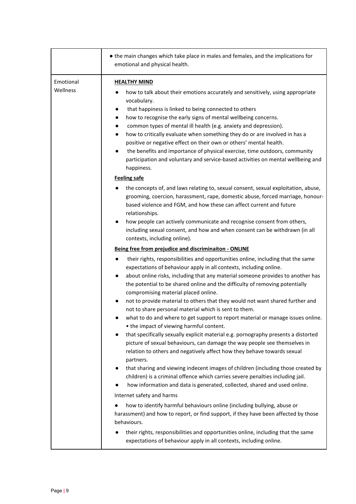|                       | • the main changes which take place in males and females, and the implications for<br>emotional and physical health.                                                                                                                                                                                                                                                                                                                                                                                                                                                                                                                                                                                                                                                                                                                                                                                                                                                                                                                                                                                                                                                                                                                                     |  |  |
|-----------------------|----------------------------------------------------------------------------------------------------------------------------------------------------------------------------------------------------------------------------------------------------------------------------------------------------------------------------------------------------------------------------------------------------------------------------------------------------------------------------------------------------------------------------------------------------------------------------------------------------------------------------------------------------------------------------------------------------------------------------------------------------------------------------------------------------------------------------------------------------------------------------------------------------------------------------------------------------------------------------------------------------------------------------------------------------------------------------------------------------------------------------------------------------------------------------------------------------------------------------------------------------------|--|--|
| Emotional<br>Wellness | <b>HEALTHY MIND</b><br>how to talk about their emotions accurately and sensitively, using appropriate<br>vocabulary.<br>that happiness is linked to being connected to others<br>$\bullet$<br>how to recognise the early signs of mental wellbeing concerns.<br>$\bullet$<br>common types of mental ill health (e.g. anxiety and depression).<br>$\bullet$<br>how to critically evaluate when something they do or are involved in has a<br>$\bullet$<br>positive or negative effect on their own or others' mental health.<br>the benefits and importance of physical exercise, time outdoors, community<br>$\bullet$<br>participation and voluntary and service-based activities on mental wellbeing and<br>happiness.                                                                                                                                                                                                                                                                                                                                                                                                                                                                                                                                 |  |  |
|                       | <b>Feeling safe</b><br>the concepts of, and laws relating to, sexual consent, sexual exploitation, abuse,<br>grooming, coercion, harassment, rape, domestic abuse, forced marriage, honour-<br>based violence and FGM, and how these can affect current and future<br>relationships.<br>how people can actively communicate and recognise consent from others,<br>including sexual consent, and how and when consent can be withdrawn (in all<br>contexts, including online).                                                                                                                                                                                                                                                                                                                                                                                                                                                                                                                                                                                                                                                                                                                                                                            |  |  |
|                       | Being free from prejudice and discriminaiton - ONLINE<br>their rights, responsibilities and opportunities online, including that the same<br>$\bullet$<br>expectations of behaviour apply in all contexts, including online.<br>about online risks, including that any material someone provides to another has<br>$\bullet$<br>the potential to be shared online and the difficulty of removing potentially<br>compromising material placed online.<br>not to provide material to others that they would not want shared further and<br>not to share personal material which is sent to them.<br>what to do and where to get support to report material or manage issues online.<br>• the impact of viewing harmful content.<br>that specifically sexually explicit material e.g. pornography presents a distorted<br>picture of sexual behaviours, can damage the way people see themselves in<br>relation to others and negatively affect how they behave towards sexual<br>partners.<br>that sharing and viewing indecent images of children (including those created by<br>children) is a criminal offence which carries severe penalties including jail.<br>how information and data is generated, collected, shared and used online.<br>$\bullet$ |  |  |
|                       | Internet safety and harms<br>how to identify harmful behaviours online (including bullying, abuse or<br>harassment) and how to report, or find support, if they have been affected by those<br>behaviours.<br>their rights, responsibilities and opportunities online, including that the same<br>expectations of behaviour apply in all contexts, including online.                                                                                                                                                                                                                                                                                                                                                                                                                                                                                                                                                                                                                                                                                                                                                                                                                                                                                     |  |  |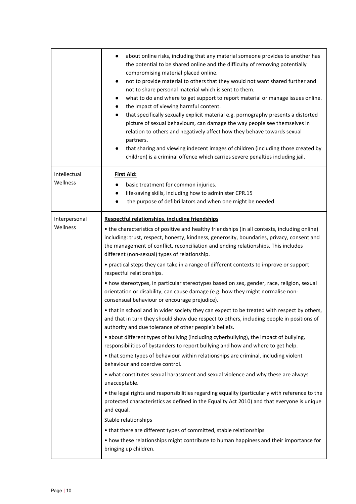|                                                                                                                     | about online risks, including that any material someone provides to another has<br>the potential to be shared online and the difficulty of removing potentially<br>compromising material placed online.<br>not to provide material to others that they would not want shared further and<br>$\bullet$<br>not to share personal material which is sent to them.<br>what to do and where to get support to report material or manage issues online.<br>$\bullet$<br>the impact of viewing harmful content.<br>$\bullet$<br>that specifically sexually explicit material e.g. pornography presents a distorted<br>٠<br>picture of sexual behaviours, can damage the way people see themselves in<br>relation to others and negatively affect how they behave towards sexual<br>partners.<br>that sharing and viewing indecent images of children (including those created by<br>$\bullet$<br>children) is a criminal offence which carries severe penalties including jail. |  |  |  |
|---------------------------------------------------------------------------------------------------------------------|--------------------------------------------------------------------------------------------------------------------------------------------------------------------------------------------------------------------------------------------------------------------------------------------------------------------------------------------------------------------------------------------------------------------------------------------------------------------------------------------------------------------------------------------------------------------------------------------------------------------------------------------------------------------------------------------------------------------------------------------------------------------------------------------------------------------------------------------------------------------------------------------------------------------------------------------------------------------------|--|--|--|
| Intellectual                                                                                                        | <b>First Aid:</b>                                                                                                                                                                                                                                                                                                                                                                                                                                                                                                                                                                                                                                                                                                                                                                                                                                                                                                                                                        |  |  |  |
| Wellness                                                                                                            | basic treatment for common injuries.                                                                                                                                                                                                                                                                                                                                                                                                                                                                                                                                                                                                                                                                                                                                                                                                                                                                                                                                     |  |  |  |
|                                                                                                                     | life-saving skills, including how to administer CPR.15<br>$\bullet$<br>the purpose of defibrillators and when one might be needed                                                                                                                                                                                                                                                                                                                                                                                                                                                                                                                                                                                                                                                                                                                                                                                                                                        |  |  |  |
|                                                                                                                     |                                                                                                                                                                                                                                                                                                                                                                                                                                                                                                                                                                                                                                                                                                                                                                                                                                                                                                                                                                          |  |  |  |
| Interpersonal<br>Wellness                                                                                           | <b>Respectful relationships, including friendships</b>                                                                                                                                                                                                                                                                                                                                                                                                                                                                                                                                                                                                                                                                                                                                                                                                                                                                                                                   |  |  |  |
|                                                                                                                     | • the characteristics of positive and healthy friendships (in all contexts, including online)<br>including: trust, respect, honesty, kindness, generosity, boundaries, privacy, consent and<br>the management of conflict, reconciliation and ending relationships. This includes<br>different (non-sexual) types of relationship.                                                                                                                                                                                                                                                                                                                                                                                                                                                                                                                                                                                                                                       |  |  |  |
| • practical steps they can take in a range of different contexts to improve or support<br>respectful relationships. |                                                                                                                                                                                                                                                                                                                                                                                                                                                                                                                                                                                                                                                                                                                                                                                                                                                                                                                                                                          |  |  |  |
|                                                                                                                     | • how stereotypes, in particular stereotypes based on sex, gender, race, religion, sexual<br>orientation or disability, can cause damage (e.g. how they might normalise non-<br>consensual behaviour or encourage prejudice).                                                                                                                                                                                                                                                                                                                                                                                                                                                                                                                                                                                                                                                                                                                                            |  |  |  |
|                                                                                                                     | • that in school and in wider society they can expect to be treated with respect by others,<br>and that in turn they should show due respect to others, including people in positions of<br>authority and due tolerance of other people's beliefs.                                                                                                                                                                                                                                                                                                                                                                                                                                                                                                                                                                                                                                                                                                                       |  |  |  |
|                                                                                                                     | • about different types of bullying (including cyberbullying), the impact of bullying,<br>responsibilities of bystanders to report bullying and how and where to get help.                                                                                                                                                                                                                                                                                                                                                                                                                                                                                                                                                                                                                                                                                                                                                                                               |  |  |  |
|                                                                                                                     | • that some types of behaviour within relationships are criminal, including violent<br>behaviour and coercive control.                                                                                                                                                                                                                                                                                                                                                                                                                                                                                                                                                                                                                                                                                                                                                                                                                                                   |  |  |  |
|                                                                                                                     | . what constitutes sexual harassment and sexual violence and why these are always<br>unacceptable.                                                                                                                                                                                                                                                                                                                                                                                                                                                                                                                                                                                                                                                                                                                                                                                                                                                                       |  |  |  |
|                                                                                                                     | . the legal rights and responsibilities regarding equality (particularly with reference to the<br>protected characteristics as defined in the Equality Act 2010) and that everyone is unique<br>and equal.                                                                                                                                                                                                                                                                                                                                                                                                                                                                                                                                                                                                                                                                                                                                                               |  |  |  |
|                                                                                                                     | Stable relationships                                                                                                                                                                                                                                                                                                                                                                                                                                                                                                                                                                                                                                                                                                                                                                                                                                                                                                                                                     |  |  |  |
|                                                                                                                     | • that there are different types of committed, stable relationships                                                                                                                                                                                                                                                                                                                                                                                                                                                                                                                                                                                                                                                                                                                                                                                                                                                                                                      |  |  |  |
|                                                                                                                     | • how these relationships might contribute to human happiness and their importance for<br>bringing up children.                                                                                                                                                                                                                                                                                                                                                                                                                                                                                                                                                                                                                                                                                                                                                                                                                                                          |  |  |  |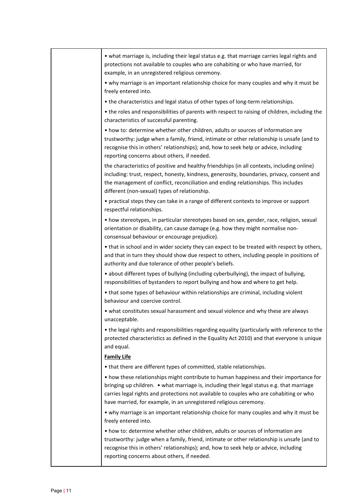|  | • what marriage is, including their legal status e.g. that marriage carries legal rights and<br>protections not available to couples who are cohabiting or who have married, for<br>example, in an unregistered religious ceremony.                                                                                                                 |
|--|-----------------------------------------------------------------------------------------------------------------------------------------------------------------------------------------------------------------------------------------------------------------------------------------------------------------------------------------------------|
|  | . why marriage is an important relationship choice for many couples and why it must be<br>freely entered into.                                                                                                                                                                                                                                      |
|  | • the characteristics and legal status of other types of long-term relationships.                                                                                                                                                                                                                                                                   |
|  | • the roles and responsibilities of parents with respect to raising of children, including the<br>characteristics of successful parenting.                                                                                                                                                                                                          |
|  | • how to: determine whether other children, adults or sources of information are<br>trustworthy: judge when a family, friend, intimate or other relationship is unsafe (and to<br>recognise this in others' relationships); and, how to seek help or advice, including<br>reporting concerns about others, if needed.                               |
|  | the characteristics of positive and healthy friendships (in all contexts, including online)<br>including: trust, respect, honesty, kindness, generosity, boundaries, privacy, consent and<br>the management of conflict, reconciliation and ending relationships. This includes<br>different (non-sexual) types of relationship.                    |
|  | • practical steps they can take in a range of different contexts to improve or support<br>respectful relationships.                                                                                                                                                                                                                                 |
|  | • how stereotypes, in particular stereotypes based on sex, gender, race, religion, sexual<br>orientation or disability, can cause damage (e.g. how they might normalise non-<br>consensual behaviour or encourage prejudice).                                                                                                                       |
|  | • that in school and in wider society they can expect to be treated with respect by others,<br>and that in turn they should show due respect to others, including people in positions of<br>authority and due tolerance of other people's beliefs.                                                                                                  |
|  | • about different types of bullying (including cyberbullying), the impact of bullying,<br>responsibilities of bystanders to report bullying and how and where to get help.                                                                                                                                                                          |
|  | • that some types of behaviour within relationships are criminal, including violent<br>behaviour and coercive control.                                                                                                                                                                                                                              |
|  | . what constitutes sexual harassment and sexual violence and why these are always<br>unacceptable.                                                                                                                                                                                                                                                  |
|  | • the legal rights and responsibilities regarding equality (particularly with reference to the<br>protected characteristics as defined in the Equality Act 2010) and that everyone is unique<br>and equal.                                                                                                                                          |
|  | <b>Family Life</b>                                                                                                                                                                                                                                                                                                                                  |
|  | • that there are different types of committed, stable relationships.                                                                                                                                                                                                                                                                                |
|  | • how these relationships might contribute to human happiness and their importance for<br>bringing up children. • what marriage is, including their legal status e.g. that marriage<br>carries legal rights and protections not available to couples who are cohabiting or who<br>have married, for example, in an unregistered religious ceremony. |
|  | • why marriage is an important relationship choice for many couples and why it must be<br>freely entered into.                                                                                                                                                                                                                                      |
|  | • how to: determine whether other children, adults or sources of information are<br>trustworthy: judge when a family, friend, intimate or other relationship is unsafe (and to<br>recognise this in others' relationships); and, how to seek help or advice, including<br>reporting concerns about others, if needed.                               |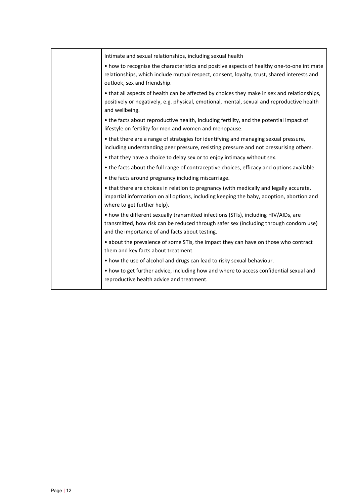| Intimate and sexual relationships, including sexual health<br>• how to recognise the characteristics and positive aspects of healthy one-to-one intimate<br>relationships, which include mutual respect, consent, loyalty, trust, shared interests and |
|--------------------------------------------------------------------------------------------------------------------------------------------------------------------------------------------------------------------------------------------------------|
|                                                                                                                                                                                                                                                        |
| outlook, sex and friendship.                                                                                                                                                                                                                           |
| • that all aspects of health can be affected by choices they make in sex and relationships,<br>positively or negatively, e.g. physical, emotional, mental, sexual and reproductive health<br>and wellbeing.                                            |
| • the facts about reproductive health, including fertility, and the potential impact of<br>lifestyle on fertility for men and women and menopause.                                                                                                     |
| • that there are a range of strategies for identifying and managing sexual pressure,<br>including understanding peer pressure, resisting pressure and not pressurising others.                                                                         |
| • that they have a choice to delay sex or to enjoy intimacy without sex.                                                                                                                                                                               |
| • the facts about the full range of contraceptive choices, efficacy and options available.                                                                                                                                                             |
| • the facts around pregnancy including miscarriage.                                                                                                                                                                                                    |
| • that there are choices in relation to pregnancy (with medically and legally accurate,<br>impartial information on all options, including keeping the baby, adoption, abortion and<br>where to get further help).                                     |
| • how the different sexually transmitted infections (STIs), including HIV/AIDs, are<br>transmitted, how risk can be reduced through safer sex (including through condom use)<br>and the importance of and facts about testing.                         |
| • about the prevalence of some STIs, the impact they can have on those who contract<br>them and key facts about treatment.                                                                                                                             |
| • how the use of alcohol and drugs can lead to risky sexual behaviour.                                                                                                                                                                                 |
| • how to get further advice, including how and where to access confidential sexual and<br>reproductive health advice and treatment.                                                                                                                    |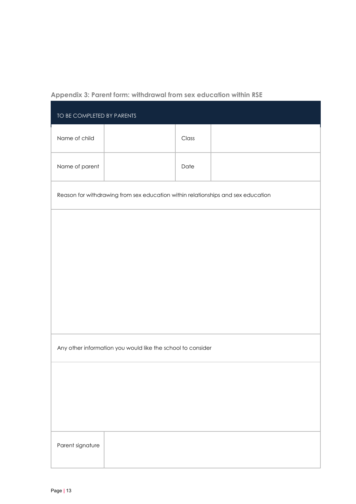### **Appendix 3: Parent form: withdrawal from sex education within RSE**

| TO BE COMPLETED BY PARENTS |                                                                                  |       |  |  |  |
|----------------------------|----------------------------------------------------------------------------------|-------|--|--|--|
| Name of child              |                                                                                  | Class |  |  |  |
| Name of parent             |                                                                                  | Date  |  |  |  |
|                            | Reason for withdrawing from sex education within relationships and sex education |       |  |  |  |
|                            |                                                                                  |       |  |  |  |
|                            |                                                                                  |       |  |  |  |
|                            |                                                                                  |       |  |  |  |
|                            |                                                                                  |       |  |  |  |
|                            |                                                                                  |       |  |  |  |
|                            | Any other information you would like the school to consider                      |       |  |  |  |
|                            |                                                                                  |       |  |  |  |
|                            |                                                                                  |       |  |  |  |
|                            |                                                                                  |       |  |  |  |
| Parent signature           |                                                                                  |       |  |  |  |